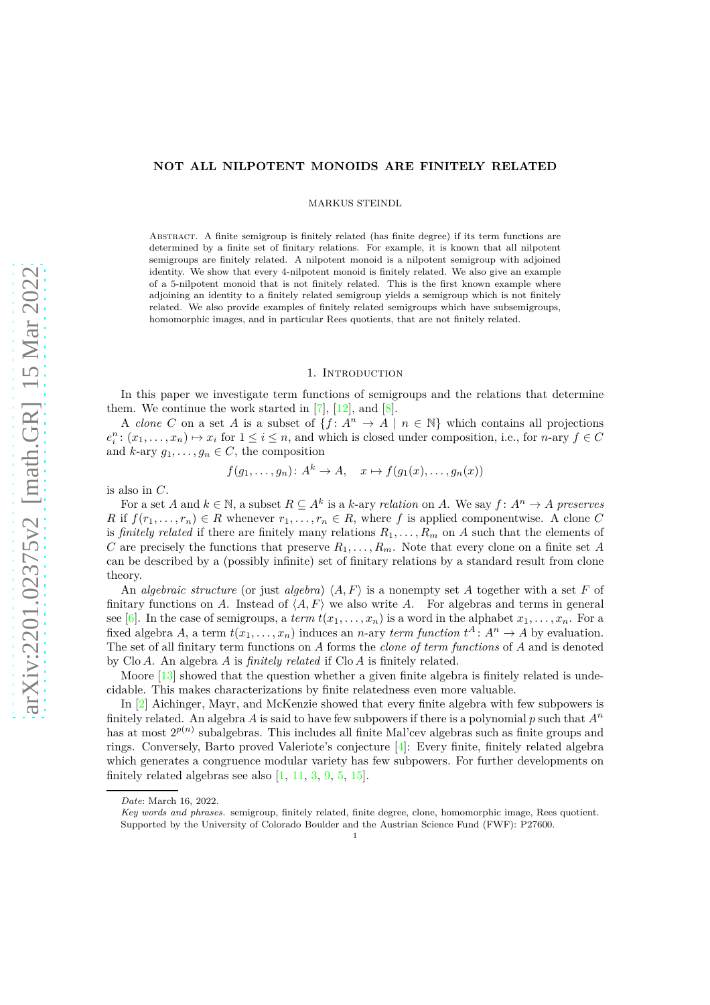## **NOT ALL NILPOTENT MONOIDS ARE FINITELY RELATED**

MARKUS STEINDL

Abstract. A finite semigroup is finitely related (has finite degree) if its term functions are determined by a finite set of finitary relations. For example, it is known that all nilpotent semigroups are finitely related. A nilpotent monoid is a nilpotent semigroup with adjoined identity. We show that every 4-nilpotent monoid is finitely related. We also give an example of a 5-nilpotent monoid that is not finitely related. This is the first known example where adjoining an identity to a finitely related semigroup yields a semigroup which is not finitely related. We also provide examples of finitely related semigroups which have subsemigroups, homomorphic images, and in particular Rees quotients, that are not finitely related.

### 1. Introduction

In this paper we investigate term functions of semigroups and the relations that determine them. We continue the work started in  $[7]$ ,  $[12]$ , and  $[8]$ .

A *clone C* on a set *A* is a subset of  $\{f: A^n \to A \mid n \in \mathbb{N}\}\$  which contains all projections  $e_i^n$ :  $(x_1, \ldots, x_n) \mapsto x_i$  for  $1 \leq i \leq n$ , and which is closed under composition, i.e., for *n*-ary  $f \in C$ and  $k$ -ary  $g_1, \ldots, g_n \in C$ , the composition

$$
f(g_1, \ldots, g_n): A^k \to A, \quad x \mapsto f(g_1(x), \ldots, g_n(x))
$$

is also in *C*.

For a set *A* and  $k \in \mathbb{N}$ , a subset  $R \subseteq A^k$  is a *k*-ary *relation* on *A*. We say  $f: A^n \to A$  preserves *R* if  $f(r_1, \ldots, r_n) \in R$  whenever  $r_1, \ldots, r_n \in R$ , where f is applied componentwise. A clone C is *finitely related* if there are finitely many relations  $R_1, \ldots, R_m$  on *A* such that the elements of *C* are precisely the functions that preserve  $R_1, \ldots, R_m$ . Note that every clone on a finite set *A* can be described by a (possibly infinite) set of finitary relations by a standard result from clone theory.

An *algebraic structure* (or just *algebra*)  $\langle A, F \rangle$  is a nonempty set *A* together with a set *F* of finitary functions on *A*. Instead of  $\langle A, F \rangle$  we also write *A*. For algebras and terms in general see [\[6\]](#page-12-3). In the case of semigroups, a *term*  $t(x_1, \ldots, x_n)$  is a word in the alphabet  $x_1, \ldots, x_n$ . For a fixed algebra *A*, a term  $t(x_1, \ldots, x_n)$  induces an *n*-ary *term function*  $t^A: A^n \to A$  by evaluation. The set of all finitary term functions on *A* forms the *clone of term functions* of *A* and is denoted by Clo *A*. An algebra *A* is *finitely related* if Clo *A* is finitely related.

Moore [\[13\]](#page-12-4) showed that the question whether a given finite algebra is finitely related is undecidable. This makes characterizations by finite relatedness even more valuable.

In [\[2\]](#page-12-5) Aichinger, Mayr, and McKenzie showed that every finite algebra with few subpowers is finitely related. An algebra *A* is said to have few subpowers if there is a polynomial  $p$  such that  $A^n$ has at most  $2^{p(n)}$  subalgebras. This includes all finite Mal'cev algebras such as finite groups and rings. Conversely, Barto proved Valeriote's conjecture [\[4\]](#page-12-6): Every finite, finitely related algebra which generates a congruence modular variety has few subpowers. For further developments on finitely related algebras see also  $\left[1, 11, 3, 9, 5, 15\right]$  $\left[1, 11, 3, 9, 5, 15\right]$  $\left[1, 11, 3, 9, 5, 15\right]$  $\left[1, 11, 3, 9, 5, 15\right]$  $\left[1, 11, 3, 9, 5, 15\right]$  $\left[1, 11, 3, 9, 5, 15\right]$  $\left[1, 11, 3, 9, 5, 15\right]$  $\left[1, 11, 3, 9, 5, 15\right]$  $\left[1, 11, 3, 9, 5, 15\right]$ .

*Date*: March 16, 2022.

*Key words and phrases.* semigroup, finitely related, finite degree, clone, homomorphic image, Rees quotient. Supported by the University of Colorado Boulder and the Austrian Science Fund (FWF): P27600.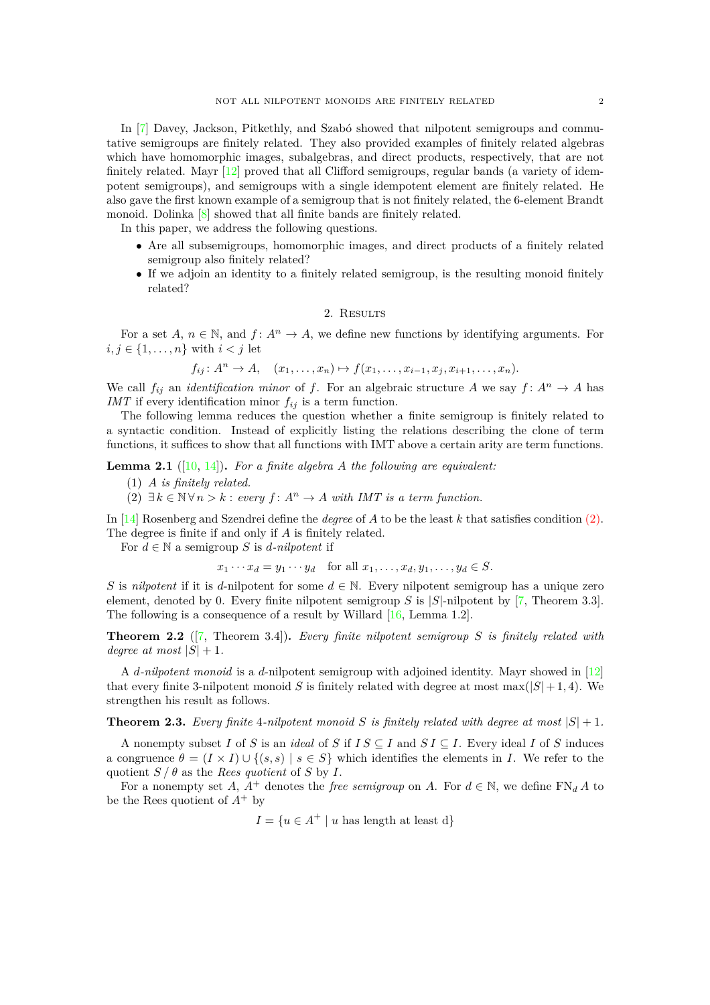In [\[7\]](#page-12-0) Davey, Jackson, Pitkethly, and Szabó showed that nilpotent semigroups and commutative semigroups are finitely related. They also provided examples of finitely related algebras which have homomorphic images, subalgebras, and direct products, respectively, that are not finitely related. Mayr [\[12\]](#page-12-1) proved that all Clifford semigroups, regular bands (a variety of idempotent semigroups), and semigroups with a single idempotent element are finitely related. He also gave the first known example of a semigroup that is not finitely related, the 6-element Brandt monoid. Dolinka [\[8\]](#page-12-2) showed that all finite bands are finitely related.

In this paper, we address the following questions.

- Are all subsemigroups, homomorphic images, and direct products of a finitely related semigroup also finitely related?
- If we adjoin an identity to a finitely related semigroup, is the resulting monoid finitely related?

# 2. RESULTS

For a set  $A, n \in \mathbb{N}$ , and  $f: A^n \to A$ , we define new functions by identifying arguments. For  $i, j \in \{1, \ldots, n\}$  with  $i < j$  let

$$
f_{ij}: A^{n} \to A
$$
,  $(x_{1},...,x_{n}) \mapsto f(x_{1},...,x_{i-1},x_{j},x_{i+1},...,x_{n}).$ 

We call  $f_{ij}$  an *identification minor* of *f*. For an algebraic structure *A* we say  $f: A^n \to A$  has *IMT* if every identification minor  $f_{ij}$  is a term function.

The following lemma reduces the question whether a finite semigroup is finitely related to a syntactic condition. Instead of explicitly listing the relations describing the clone of term functions, it suffices to show that all functions with IMT above a certain arity are term functions.

<span id="page-1-1"></span><span id="page-1-0"></span>**Lemma 2.1** ([\[10,](#page-12-13) [14\]](#page-12-14))**.** *For a finite algebra A the following are equivalent:*

- (1) *A is finitely related.*
- (2)  $∃ k ∈ ℕ ∀ n > k : every f : A<sup>n</sup> → A with IMT is a term function.$

In [\[14\]](#page-12-14) Rosenberg and Szendrei define the *degree* of *A* to be the least *k* that satisfies condition [\(2\).](#page-1-0) The degree is finite if and only if *A* is finitely related.

For  $d \in \mathbb{N}$  a semigroup *S* is *d*-nilpotent if

$$
x_1 \cdots x_d = y_1 \cdots y_d \quad \text{for all } x_1, \ldots, x_d, y_1, \ldots, y_d \in S.
$$

*S* is *nilpotent* if it is *d*-nilpotent for some  $d \in \mathbb{N}$ . Every nilpotent semigroup has a unique zero element, denoted by 0. Every finite nilpotent semigroup *S* is |*S*|-nilpotent by [\[7,](#page-12-0) Theorem 3.3]. The following is a consequence of a result by Willard [\[16,](#page-12-15) Lemma 1.2].

**Theorem 2.2** ([\[7,](#page-12-0) Theorem 3.4])**.** *Every finite nilpotent semigroup S is finitely related with degree at most*  $|S| + 1$ .

A *d-nilpotent monoid* is a *d*-nilpotent semigroup with adjoined identity. Mayr showed in [\[12\]](#page-12-1) that every finite 3-nilpotent monoid *S* is finitely related with degree at most  $\max(|S|+1, 4)$ . We strengthen his result as follows.

<span id="page-1-2"></span>**Theorem 2.3.** *Every finite* 4*-nilpotent monoid S* is finitely related with degree at most  $|S| + 1$ *.* 

A nonempty subset *I* of *S* is an *ideal* of *S* if  $IS \subseteq I$  and  $SI \subseteq I$ . Every ideal *I* of *S* induces a congruence  $\theta = (I \times I) \cup \{(s, s) \mid s \in S\}$  which identifies the elements in *I*. We refer to the quotient  $S/\theta$  as the *Rees quotient* of *S* by *I*.

For a nonempty set *A*,  $A^+$  denotes the *free semigroup* on *A*. For  $d \in \mathbb{N}$ , we define  $\text{FN}_d A$  to be the Rees quotient of *A*<sup>+</sup> by

 $I = \{u \in A^+ \mid u \text{ has length at least d}\}\$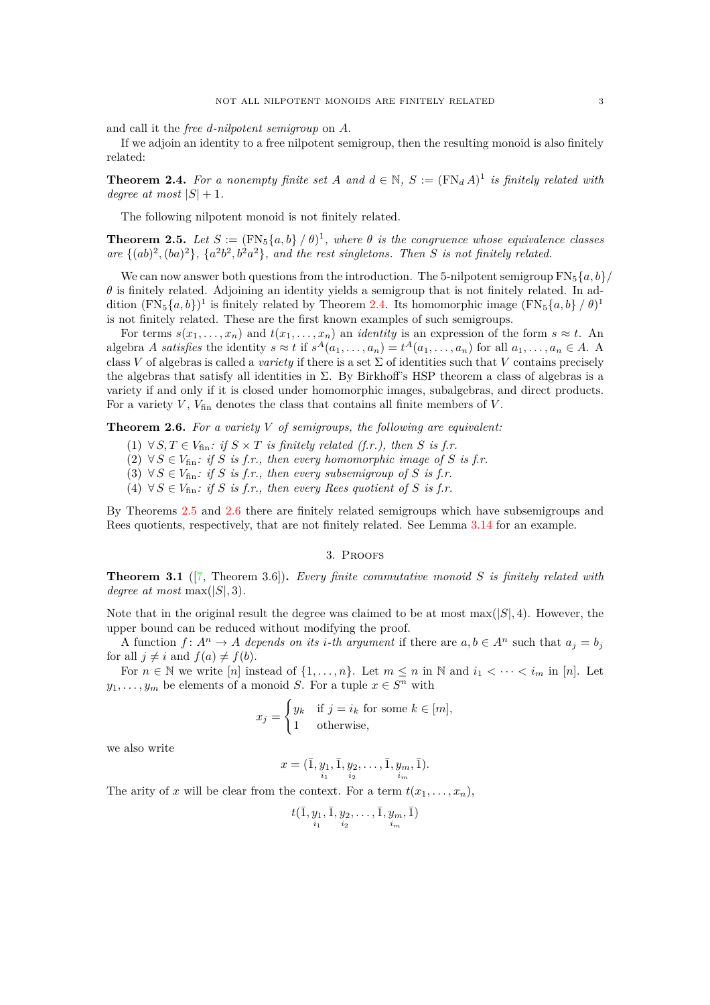and call it the *free d-nilpotent semigroup* on *A*.

If we adjoin an identity to a free nilpotent semigroup, then the resulting monoid is also finitely related:

<span id="page-2-0"></span>**Theorem 2.4.** For a nonempty finite set A and  $d \in \mathbb{N}$ ,  $S := (\text{FN}_d A)^1$  is finitely related with *degree at most*  $|S| + 1$ .

The following nilpotent monoid is not finitely related.

<span id="page-2-1"></span>**Theorem 2.5.** Let  $S := (\text{FN}_5\{a, b\} / \theta)^1$ , where  $\theta$  is the congruence whose equivalence classes are  $\{(ab)^2, (ba)^2\}$ ,  $\{a^2b^2, b^2a^2\}$ , and the rest singletons. Then *S* is not finitely related.

We can now answer both questions from the introduction. The 5-nilpotent semigroup  $FN_5{a, b}/$  $\theta$  is finitely related. Adjoining an identity yields a semigroup that is not finitely related. In addition  $(FN_5{a,b})^1$  is finitely related by Theorem [2.4.](#page-2-0) Its homomorphic image  $(FN_5{a,b} / \theta)^1$ is not finitely related. These are the first known examples of such semigroups.

For terms  $s(x_1, \ldots, x_n)$  and  $t(x_1, \ldots, x_n)$  an *identity* is an expression of the form  $s \approx t$ . An algebra A satisfies the identity  $s \approx t$  if  $s^A(a_1, \ldots, a_n) = t^A(a_1, \ldots, a_n)$  for all  $a_1, \ldots, a_n \in A$ . A class *V* of algebras is called a *variety* if there is a set  $\Sigma$  of identities such that *V* contains precisely the algebras that satisfy all identities in  $\Sigma$ . By Birkhoff's HSP theorem a class of algebras is a variety if and only if it is closed under homomorphic images, subalgebras, and direct products. For a variety  $V$ ,  $V_{fin}$  denotes the class that contains all finite members of  $V$ .

<span id="page-2-5"></span><span id="page-2-2"></span>**Theorem 2.6.** *For a variety V of semigroups, the following are equivalent:*

- $(1)$  ∀ *S*, *T* ∈  $V_{fin}$ : *if*  $S \times T$  *is finitely related (f.r.), then S is f.r.*
- <span id="page-2-4"></span>(2) ∀  $S$  ∈  $V_{\text{fin}}$ : *if*  $S$  *is f.r., then every homomorphic image of*  $S$  *is f.r.*
- <span id="page-2-6"></span>(3)  $\forall S \in V_{\text{fin}}$ : if *S* is *f.r.*, then every subsemigroup of *S* is *f.r.*
- (4)  $\forall S \in V_{\text{fin}}$ : if *S* is *f.r.*, then every Rees quotient of *S* is *f.r.*

By Theorems [2.5](#page-2-1) and [2.6](#page-2-2) there are finitely related semigroups which have subsemigroups and Rees quotients, respectively, that are not finitely related. See Lemma [3.14](#page-11-0) for an example.

#### 3. Proofs

<span id="page-2-3"></span>**Theorem 3.1** ([\[7,](#page-12-0) Theorem 3.6])**.** *Every finite commutative monoid S is finitely related with degree at most* max $(|S|, 3)$ *.* 

Note that in the original result the degree was claimed to be at most  $\max(|S|, 4)$ . However, the upper bound can be reduced without modifying the proof.

A function  $f: A^n \to A$  depends on its *i*-th argument if there are  $a, b \in A^n$  such that  $a_j = b_j$ for all  $j \neq i$  and  $f(a) \neq f(b)$ .

For  $n \in \mathbb{N}$  we write  $[n]$  instead of  $\{1, \ldots, n\}$ . Let  $m \leq n$  in  $\mathbb{N}$  and  $i_1 < \cdots < i_m$  in  $[n]$ . Let *y*<sub>1</sub>*,..., y<sub>m</sub>* be elements of a monoid *S*. For a tuple  $x \in S^n$  with

$$
x_j = \begin{cases} y_k & \text{if } j = i_k \text{ for some } k \in [m], \\ 1 & \text{otherwise,} \end{cases}
$$

we also write

$$
x = (\bar{1}, \underbrace{y_1}_{i_1}, \bar{1}, \underbrace{y_2}_{i_2}, \dots, \bar{1}, \underbrace{y_m}_{i_m}, \bar{1}).
$$

The arity of *x* will be clear from the context. For a term  $t(x_1, \ldots, x_n)$ ,

$$
t(\bar{1}, \underbrace{y_1}_{i_1}, \bar{1}, \underbrace{y_2}_{i_2}, \dots, \bar{1}, \underbrace{y_m}_{i_m}, \bar{1})
$$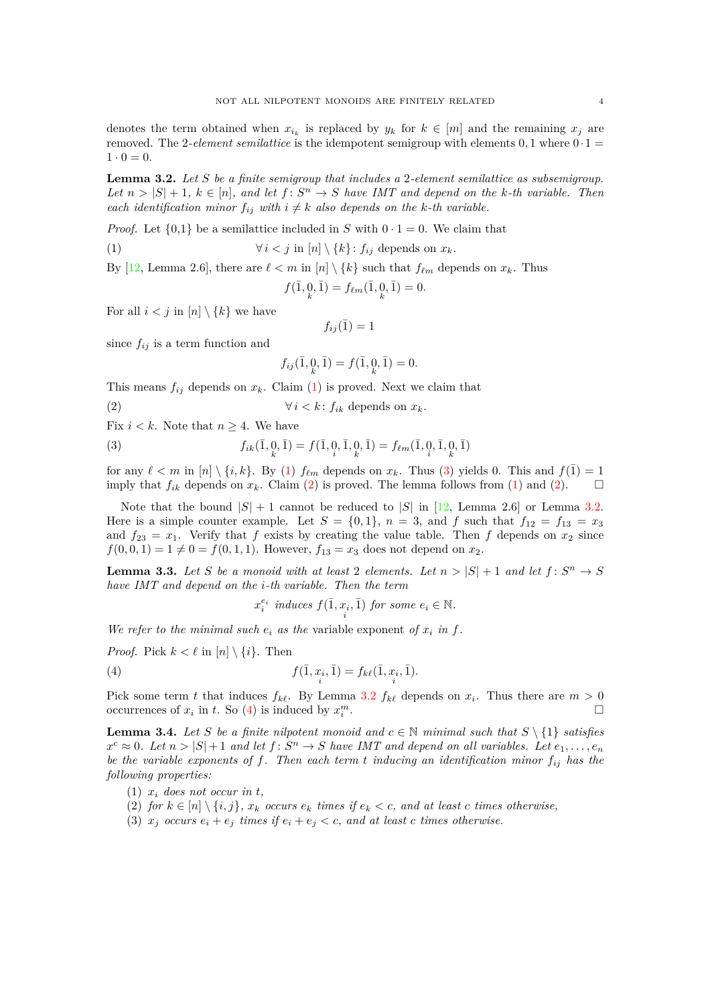denotes the term obtained when  $x_{i_k}$  is replaced by  $y_k$  for  $k \in [m]$  and the remaining  $x_j$  are removed. The 2-*element semilattice* is the idempotent semigroup with elements  $0, 1$  where  $0.1 =$  $1 \cdot 0 = 0.$ 

<span id="page-3-3"></span>**Lemma 3.2.** *Let S be a finite semigroup that includes a* 2*-element semilattice as subsemigroup. Let*  $n > |S| + 1$ ,  $k \in [n]$ *, and let*  $f: S^n \to S$  *have IMT and depend on the k*-th variable. Then *each identification minor*  $f_{ij}$  *with*  $i \neq k$  *also depends on the k-th variable.* 

*Proof.* Let  $\{0,1\}$  be a semilattice included in *S* with  $0 \cdot 1 = 0$ . We claim that

(1) 
$$
\forall i < j \text{ in } [n] \setminus \{k\} : f_{ij} \text{ depends on } x_k.
$$

By [\[12,](#page-12-1) Lemma 2.6], there are  $\ell < m$  in [*n*]  $\{k\}$  such that  $f_{\ell m}$  depends on  $x_k$ . Thus  $f(\bar{1}, 0, \bar{1}) = f_{\ell m}(\bar{1}, 0, \bar{1}) = 0.$ 

For all  $i < j$  in  $[n] \setminus \{k\}$  we have

<span id="page-3-0"></span>
$$
f_{ij}(\bar{1}) = 1
$$

since  $f_{ij}$  is a term function and

<span id="page-3-2"></span><span id="page-3-1"></span>
$$
f_{ij}(\bar{1}, \bar{0}, \bar{1}) = f(\bar{1}, \bar{0}, \bar{1}) = 0.
$$

This means  $f_{ij}$  depends on  $x_k$ . Claim [\(1\)](#page-3-0) is proved. Next we claim that

(2) 
$$
\forall i < k \colon f_{ik} \text{ depends on } x_k.
$$

Fix  $i < k$ . Note that  $n \geq 4$ . We have

(3) 
$$
f_{ik}(\bar{1}, 0, \bar{1}) = f(\bar{1}, 0, \bar{1}, 0, \bar{1}) = f_{\ell m}(\bar{1}, 0, \bar{1}, 0, \bar{1})
$$

for any  $\ell < m$  in  $[n] \setminus \{i, k\}$ . By [\(1\)](#page-3-0)  $f_{\ell m}$  depends on  $x_k$ . Thus [\(3\)](#page-3-1) yields 0. This and  $f(1) = 1$ imply that  $f_{ik}$  depends on  $x_k$ . Claim [\(2\)](#page-3-2) is proved. The lemma follows from [\(1\)](#page-3-0) and [\(2\)](#page-3-2).  $\square$ 

Note that the bound  $|S| + 1$  cannot be reduced to  $|S|$  in [\[12,](#page-12-1) Lemma 2.6] or Lemma [3.2.](#page-3-3) Here is a simple counter example. Let  $S = \{0,1\}$ ,  $n = 3$ , and f such that  $f_{12} = f_{13} = x_3$ and  $f_{23} = x_1$ . Verify that *f* exists by creating the value table. Then *f* depends on  $x_2$  since  $f(0,0,1) = 1 \neq 0 = f(0,1,1)$ . However,  $f_{13} = x_3$  does not depend on  $x_2$ .

<span id="page-3-8"></span>**Lemma 3.3.** Let *S* be a monoid with at least 2 elements. Let  $n > |S| + 1$  and let  $f: S^n \to S$ *have IMT and depend on the i-th variable. Then the term*

<span id="page-3-4"></span>
$$
x_i^{e_i} \ \text{induces} \ f(\bar{1}, x_i, \bar{1}) \ \text{for some} \ e_i \in \mathbb{N}.
$$

*We refer to the minimal such*  $e_i$  *as the variable exponent of*  $x_i$  *in*  $f$ *.* 

*Proof.* Pick  $k < \ell$  in  $[n] \setminus \{i\}$ . Then

(4) 
$$
f(\bar{1}, x_i, \bar{1}) = f_{k\ell}(\bar{1}, x_i, \bar{1}).
$$

Pick some term *t* that induces  $f_{k\ell}$ . By Lemma [3.2](#page-3-3)  $f_{k\ell}$  depends on  $x_i$ . Thus there are  $m > 0$ occurrences of  $x_i$  in  $t$ . So [\(4\)](#page-3-4) is induced by  $x_i^m$ .

<span id="page-3-9"></span>**Lemma 3.4.** *Let S be a finite nilpotent monoid and*  $c \in \mathbb{N}$  *minimal such that*  $S \setminus \{1\}$  *satisfies*  $x^c \approx 0$ . Let  $n > |S| + 1$  and let  $f: S^n \to S$  have IMT and depend on all variables. Let  $e_1, \ldots, e_n$ *be the variable exponents of f. Then each term t inducing an identification minor fij has the following properties:*

- <span id="page-3-6"></span><span id="page-3-5"></span>(1)  $x_i$  does not occur in  $t$ ,
- <span id="page-3-7"></span>(2) *for*  $k \in [n] \setminus \{i, j\}$ ,  $x_k$  *occurs*  $e_k$  *times if*  $e_k < c$ , and at least *c times otherwise*,
- (3)  $x_j$  occurs  $e_i + e_j$  times if  $e_i + e_j < c$ , and at least c times otherwise.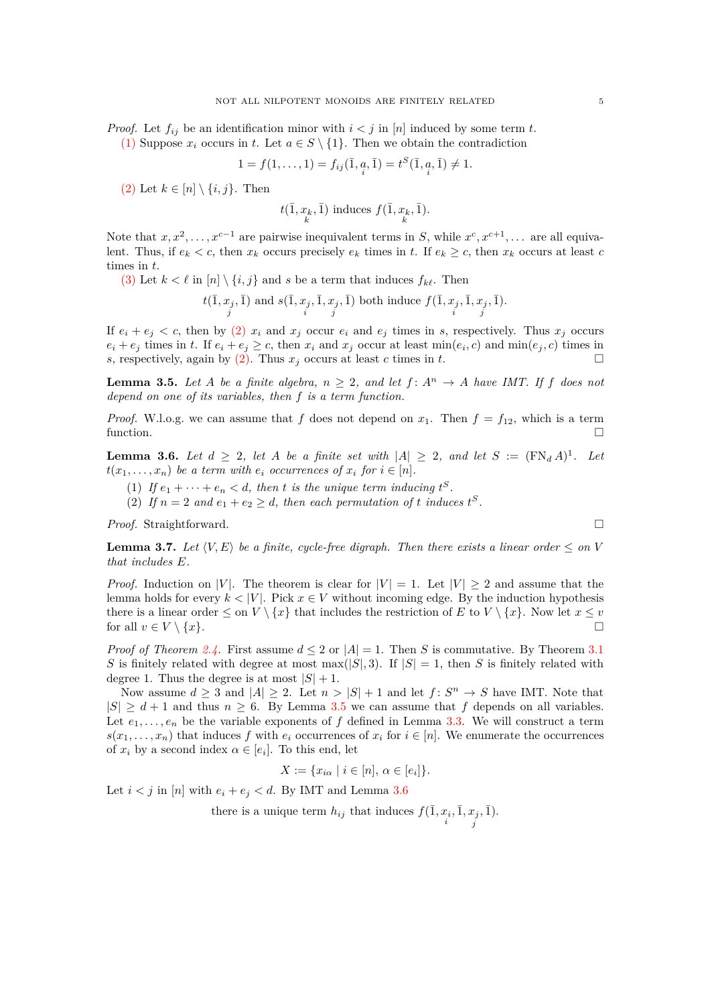*Proof.* Let  $f_{ij}$  be an identification minor with  $i < j$  in [*n*] induced by some term *t*.

[\(1\)](#page-3-5) Suppose  $x_i$  occurs in  $t$ . Let  $a \in S \setminus \{1\}$ . Then we obtain the contradiction

$$
1 = f(1, ..., 1) = f_{ij}(\bar{1}, \bar{a}, \bar{1}) = t^{S}(\bar{1}, \bar{a}, \bar{1}) \neq 1.
$$

[\(2\)](#page-3-6) Let  $k \in [n] \setminus \{i, j\}$ . Then

$$
t(\overline{1}, x_k, \overline{1})
$$
 induces  $f(\overline{1}, x_k, \overline{1})$ .

Note that  $x, x^2, \ldots, x^{c-1}$  are pairwise inequivalent terms in *S*, while  $x^c, x^{c+1}, \ldots$  are all equivalent. Thus, if  $e_k < c$ , then  $x_k$  occurs precisely  $e_k$  times in  $t$ . If  $e_k \geq c$ , then  $x_k$  occurs at least  $c$ times in *t*.

[\(3\)](#page-3-7) Let  $k < \ell$  in  $[n] \setminus \{i, j\}$  and *s* be a term that induces  $f_{k\ell}$ . Then

$$
t(\overline{1}, x_j, \overline{1})
$$
 and  $s(\overline{1}, x_j, \overline{1}, x_j, \overline{1})$  both induce  $f(\overline{1}, x_j, \overline{1}, x_j, \overline{1})$ .

If  $e_i + e_j < c$ , then by [\(2\)](#page-3-6)  $x_i$  and  $x_j$  occur  $e_i$  and  $e_j$  times in *s*, respectively. Thus  $x_j$  occurs  $e_i + e_j$  times in t. If  $e_i + e_j \geq c$ , then  $x_i$  and  $x_j$  occur at least  $\min(e_i, c)$  and  $\min(e_j, c)$  times in *s*, respectively, again by [\(2\).](#page-3-6) Thus  $x_j$  occurs at least *c* times in *t*.

<span id="page-4-0"></span>**Lemma 3.5.** *Let A be a finite algebra,*  $n \geq 2$ *, and let*  $f: A<sup>n</sup> \to A$  *have IMT. If*  $f$  *does not depend on one of its variables, then f is a term function.*

*Proof.* W.l.o.g. we can assume that *f* does not depend on  $x_1$ . Then  $f = f_{12}$ , which is a term function.  $\square$ 

<span id="page-4-1"></span>**Lemma 3.6.** *Let*  $d \geq 2$ *, let*  $A$  *be a finite set with*  $|A| \geq 2$ *, and let*  $S := (\text{FN}_d A)^1$ *. Let*  $t(x_1, \ldots, x_n)$  *be a term with*  $e_i$  *occurrences of*  $x_i$  *for*  $i \in [n]$ *.* 

- (1) If  $e_1 + \cdots + e_n < d$ , then *t* is the unique term inducing  $t^S$ .
- (2) If  $n = 2$  and  $e_1 + e_2 \geq d$ , then each permutation of t induces  $t^S$ .

*Proof.* Straightforward. □

<span id="page-4-2"></span>**Lemma 3.7.** Let  $\langle V, E \rangle$  be a finite, cycle-free digraph. Then there exists a linear order  $\leq$  on V *that includes E.*

*Proof.* Induction on |*V*|. The theorem is clear for  $|V| = 1$ . Let  $|V| \geq 2$  and assume that the lemma holds for every  $k < |V|$ . Pick  $x \in V$  without incoming edge. By the induction hypothesis there is a linear order  $\leq$  on  $V \setminus \{x\}$  that includes the restriction of *E* to  $V \setminus \{x\}$ . Now let  $x \leq v$ for all  $v \in V \setminus \{x\}.$ 

*Proof of Theorem [2.4.](#page-2-0)* First assume  $d \leq 2$  or  $|A| = 1$ . Then *S* is commutative. By Theorem [3.1](#page-2-3) *S* is finitely related with degree at most max(|*S*|*,* 3). If  $|S| = 1$ , then *S* is finitely related with degree 1. Thus the degree is at most  $|S| + 1$ .

Now assume  $d \geq 3$  and  $|A| \geq 2$ . Let  $n > |S| + 1$  and let  $f: S^n \to S$  have IMT. Note that  $|S| \geq d+1$  and thus  $n \geq 6$ . By Lemma [3.5](#page-4-0) we can assume that f depends on all variables. Let  $e_1, \ldots, e_n$  be the variable exponents of f defined in Lemma [3.3.](#page-3-8) We will construct a term  $s(x_1, \ldots, x_n)$  that induces *f* with  $e_i$  occurrences of  $x_i$  for  $i \in [n]$ . We enumerate the occurrences of  $x_i$  by a second index  $\alpha \in [e_i]$ . To this end, let

$$
X := \{ x_{i\alpha} \mid i \in [n], \alpha \in [e_i] \}.
$$

Let  $i < j$  in [n] with  $e_i + e_j < d$ . By IMT and Lemma [3.6](#page-4-1)

there is a unique term  $h_{ij}$  that induces  $f(\bar{1}, x_i, \bar{1}, x_j)$  $, \bar{1}$  $).$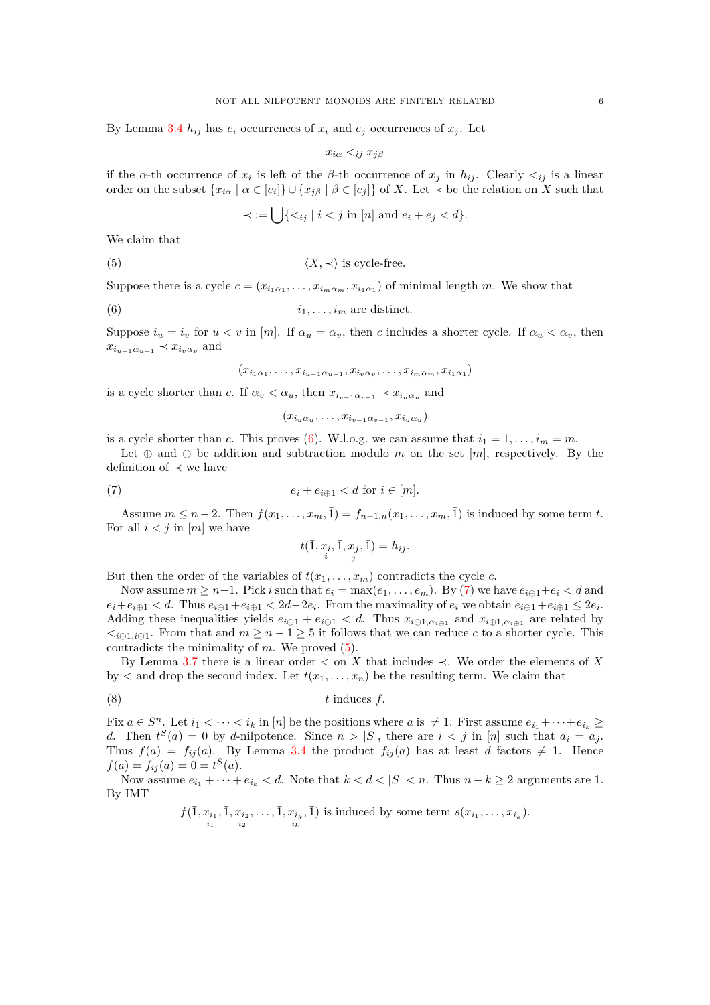By Lemma [3.4](#page-3-9)  $h_{ij}$  has  $e_i$  occurrences of  $x_i$  and  $e_j$  occurrences of  $x_j$ . Let

$$
x_{i\alpha} <_{ij} x_{j\beta}
$$

if the *α*-th occurrence of  $x_i$  is left of the *β*-th occurrence of  $x_j$  in  $h_{ij}$ . Clearly  $\lt_{ij}$  is a linear order on the subset  $\{x_{i\alpha} \mid \alpha \in [e_i]\} \cup \{x_{j\beta} \mid \beta \in [e_j]\}$  of *X*. Let  $\prec$  be the relation on *X* such that

<span id="page-5-2"></span>
$$
\prec := \bigcup \{ \langle i_j \mid i < j \text{ in } [n] \text{ and } e_i + e_j < d \}.
$$

We claim that

(5)  $\langle X, \prec \rangle$  is cycle-free.

Suppose there is a cycle  $c = (x_{i_1 \alpha_1}, \ldots, x_{i_m \alpha_m}, x_{i_1 \alpha_1})$  of minimal length *m*. We show that

$$
(6) \t\t\t i_1, \ldots, i_m \t\t are distinct.
$$

Suppose  $i_u = i_v$  for  $u < v$  in [*m*]. If  $\alpha_u = \alpha_v$ , then *c* includes a shorter cycle. If  $\alpha_u < \alpha_v$ , then  $x_{i_{u-1}\alpha_{u-1}} \prec x_{i_v\alpha_v}$  and

<span id="page-5-0"></span>
$$
(x_{i_1\alpha_1},\ldots,x_{i_{u-1}\alpha_{u-1}},x_{i_v\alpha_v},\ldots,x_{i_m\alpha_m},x_{i_1\alpha_1})
$$

is a cycle shorter than *c*. If  $\alpha_v < \alpha_u$ , then  $x_{i_{v-1}\alpha_{v-1}} \prec x_{i_u \alpha_u}$  and

$$
(x_{i_u\alpha_u},\ldots,x_{i_{v-1}\alpha_{v-1}},x_{i_u\alpha_u})
$$

is a cycle shorter than *c*. This proves [\(6\)](#page-5-0). W.l.o.g. we can assume that  $i_1 = 1, \ldots, i_m = m$ .

Let  $\oplus$  and  $\ominus$  be addition and subtraction modulo *m* on the set [*m*], respectively. By the definition of  $\prec$  we have

(7) 
$$
e_i + e_{i \oplus 1} < d \text{ for } i \in [m].
$$

Assume  $m \leq n-2$ . Then  $f(x_1, ..., x_m, \bar{1}) = f_{n-1,n}(x_1, ..., x_m, \bar{1})$  is induced by some term *t*. For all  $i < j$  in  $[m]$  we have

<span id="page-5-3"></span><span id="page-5-1"></span>
$$
t(\bar{1}, x_i, \bar{1}, x_j, \bar{1}) = h_{ij}.
$$

But then the order of the variables of  $t(x_1, \ldots, x_m)$  contradicts the cycle *c*.

Now assume  $m \geq n-1$ . Pick *i* such that  $e_i = \max(e_1, \ldots, e_m)$ . By [\(7\)](#page-5-1) we have  $e_{i \ominus 1} + e_i < d$  and  $e_i + e_{i \oplus 1} < d$ . Thus  $e_{i \ominus 1} + e_{i \oplus 1} < 2d - 2e_i$ . From the maximality of  $e_i$  we obtain  $e_{i \ominus 1} + e_{i \oplus 1} \leq 2e_i$ . Adding these inequalities yields  $e_{i\ominus 1} + e_{i\oplus 1} < d$ . Thus  $x_{i\ominus 1,\alpha_{i\ominus 1}}$  and  $x_{i\oplus 1,\alpha_{i\oplus 1}}$  are related by  $\langle\cdot\rangle_{i\in\{1,i\}\oplus\{1,i\}}$ . From that and  $m\geq n-1\geq 5$  it follows that we can reduce *c* to a shorter cycle. This contradicts the minimality of *m*. We proved [\(5\)](#page-5-2).

By Lemma [3.7](#page-4-2) there is a linear order  $\lt$  on *X* that includes  $\lt$ . We order the elements of *X* by  $\lt$  and drop the second index. Let  $t(x_1, \ldots, x_n)$  be the resulting term. We claim that

$$
(8) \t t induces f.
$$

Fix  $a \in S^n$ . Let  $i_1 < \cdots < i_k$  in [*n*] be the positions where *a* is  $\neq 1$ . First assume  $e_{i_1} + \cdots + e_{i_k} \ge$ *d*. Then  $t^{S}(a) = 0$  by *d*-nilpotence. Since  $n > |S|$ , there are  $i < j$  in [*n*] such that  $a_i = a_j$ . Thus  $f(a) = f_{ij}(a)$ . By Lemma [3.4](#page-3-9) the product  $f_{ij}(a)$  has at least *d* factors  $\neq 1$ . Hence  $f(a) = f_{ij}(a) = 0 = t^{S}(a).$ 

Now assume  $e_{i_1} + \cdots + e_{i_k} < d$ . Note that  $k < d < |S| < n$ . Thus  $n - k \geq 2$  arguments are 1. By IMT

$$
f(\bar{1}, x_{i_1}, \bar{1}, x_{i_2}, \ldots, \bar{1}, x_{i_k}, \bar{1})
$$
 is induced by some term  $s(x_{i_1}, \ldots, x_{i_k})$ .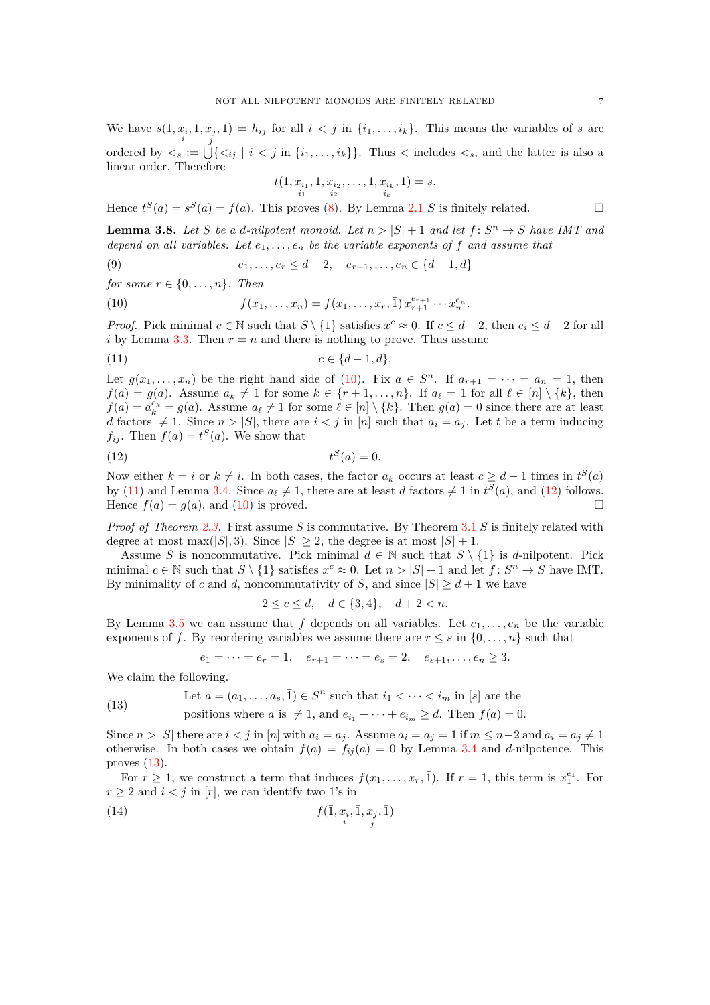We have  $s(\overline{1}, x_i, \overline{1}, x_j, \overline{1}) = h_{ij}$  for all  $i < j$  in  $\{i_1, \ldots, i_k\}$ . This means the variables of *s* are *j* ordered by  $\lt_s := \bigcup \{ \lt_{ij} \mid i \lt j \text{ in } \{i_1, \ldots, i_k\} \}$ . Thus  $\lt$  includes  $\lt_s$ , and the latter is also a linear order. Therefore

<span id="page-6-1"></span><span id="page-6-0"></span>
$$
t(\bar{1}, x_{i_1}, \bar{1}, x_{i_2}, \dots, \bar{1}, x_{i_k}, \bar{1}) = s.
$$

Hence  $t^{S}(a) = s^{S}(a) = f(a)$ . This proves [\(8\)](#page-5-3). By Lemma [2.1](#page-1-1) *S* is finitely related.

<span id="page-6-5"></span>**Lemma 3.8.** Let *S* be a *d*-nilpotent monoid. Let  $n > |S| + 1$  and let  $f: S^n \to S$  have IMT and *depend on all variables. Let*  $e_1, \ldots, e_n$  *be the variable exponents of*  $f$  *and assume that* 

(9) 
$$
e_1, \ldots, e_r \leq d-2, \quad e_{r+1}, \ldots, e_n \in \{d-1, d\}
$$

*for some*  $r \in \{0, \ldots, n\}$ *. Then* 

(10) 
$$
f(x_1,...,x_n) = f(x_1,...,x_r, \bar{1}) x_{r+1}^{e_{r+1}} \cdots x_n^{e_n}.
$$

*Proof.* Pick minimal  $c \in \mathbb{N}$  such that  $S \setminus \{1\}$  satisfies  $x^c \approx 0$ . If  $c \leq d-2$ , then  $e_i \leq d-2$  for all *i* by Lemma [3.3.](#page-3-8) Then  $r = n$  and there is nothing to prove. Thus assume

$$
(11) \t\t c \in \{d-1, d\}.
$$

Let  $g(x_1, \ldots, x_n)$  be the right hand side of [\(10\)](#page-6-0). Fix  $a \in S^n$ . If  $a_{r+1} = \cdots = a_n = 1$ , then  $f(a) = g(a)$ . Assume  $a_k \neq 1$  for some  $k \in \{r+1, \ldots, n\}$ . If  $a_\ell = 1$  for all  $\ell \in [n] \setminus \{k\}$ , then  $f(a) = a_k^{e_k} = g(a)$ . Assume  $a_\ell \neq 1$  for some  $\ell \in [n] \setminus \{k\}$ . Then  $g(a) = 0$  since there are at least *d* factors  $\neq$  1. Since  $n$  >  $|S|$ , there are  $i < j$  in [*n*] such that  $a_i = a_j$ . Let *t* be a term inducing  $f_{ij}$ . Then  $f(a) = t^S(a)$ . We show that

$$
(12) \t\t tS(a) = 0.
$$

Now either  $k = i$  or  $k \neq i$ . In both cases, the factor  $a_k$  occurs at least  $c \geq d - 1$  times in  $t^S(a)$ by [\(11\)](#page-6-1) and Lemma [3.4.](#page-3-9) Since  $a_{\ell} \neq 1$ , there are at least *d* factors  $\neq 1$  in  $t^{S}(a)$ , and [\(12\)](#page-6-2) follows. Hence  $f(a) = g(a)$ , and [\(10\)](#page-6-0) is proved.

*Proof of Theorem [2.3.](#page-1-2)* First assume *S* is commutative. By Theorem [3.1](#page-2-3) *S* is finitely related with degree at most max( $|S|$ , 3). Since  $|S| \geq 2$ , the degree is at most  $|S| + 1$ .

Assume *S* is noncommutative. Pick minimal  $d \in \mathbb{N}$  such that  $S \setminus \{1\}$  is *d*-nilpotent. Pick minimal  $c \in \mathbb{N}$  such that  $S \setminus \{1\}$  satisfies  $x^c \approx 0$ . Let  $n > |S| + 1$  and let  $f: S^n \to S$  have IMT. By minimality of *c* and *d*, noncommutativity of *S*, and since  $|S| \ge d + 1$  we have

<span id="page-6-2"></span>
$$
2 \le c \le d, \quad d \in \{3, 4\}, \quad d + 2 < n.
$$

By Lemma [3.5](#page-4-0) we can assume that  $f$  depends on all variables. Let  $e_1, \ldots, e_n$  be the variable exponents of *f*. By reordering variables we assume there are  $r \leq s$  in  $\{0, \ldots, n\}$  such that

<span id="page-6-4"></span><span id="page-6-3"></span>
$$
e_1 = \cdots = e_r = 1
$$
,  $e_{r+1} = \cdots = e_s = 2$ ,  $e_{s+1}, \ldots, e_n \geq 3$ .

We claim the following.

(13) Let 
$$
a = (a_1, \ldots, a_s, \bar{1}) \in S^n
$$
 such that  $i_1 < \cdots < i_m$  in [s] are the  
positions where  $a$  is  $\neq 1$ , and  $e_{i_1} + \cdots + e_{i_m} \geq d$ . Then  $f(a) = 0$ .

Since  $n > |S|$  there are  $i < j$  in [n] with  $a_i = a_j$ . Assume  $a_i = a_j = 1$  if  $m \leq n-2$  and  $a_i = a_j \neq 1$ otherwise. In both cases we obtain  $f(a) = f_{ij}(a) = 0$  by Lemma [3.4](#page-3-9) and *d*-nilpotence. This proves  $(13)$ .

For  $r \geq 1$ , we construct a term that induces  $f(x_1, \ldots, x_r, \overline{1})$ . If  $r = 1$ , this term is  $x_1^{e_1}$ . For  $r \geq 2$  and  $i < j$  in [*r*], we can identify two 1's in

$$
(14) \qquad \qquad f(\bar{1}, x_i, \bar{1}, x_j, \bar{1})
$$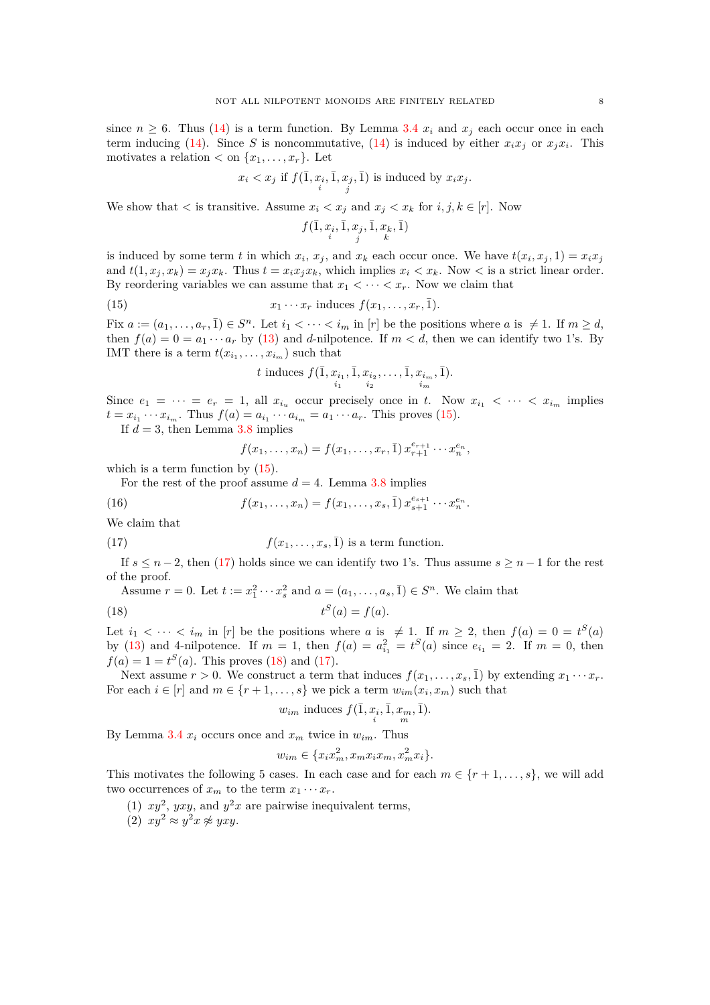since  $n \geq 6$ . Thus [\(14\)](#page-6-4) is a term function. By Lemma [3.4](#page-3-9)  $x_i$  and  $x_j$  each occur once in each term inducing [\(14\)](#page-6-4). Since *S* is noncommutative, (14) is induced by either  $x_i x_j$  or  $x_j x_i$ . This motivates a relation  $\langle \text{on } \{x_1, \ldots, x_r\} \rangle$ . Let

$$
x_i < x_j \text{ if } f(\bar{1}, x_i, \bar{1}, x_j, \bar{1}) \text{ is induced by } x_i x_j.
$$

We show that  $\lt$  is transitive. Assume  $x_i \lt x_j$  and  $x_j \lt x_k$  for  $i, j, k \in [r]$ . Now

$$
f(\bar{1},x_i,\bar{1},x_j,\bar{1},x_k,\bar{1})\\i
$$

is induced by some term *t* in which  $x_i$ ,  $x_j$ , and  $x_k$  each occur once. We have  $t(x_i, x_j, 1) = x_i x_j$ and  $t(1, x_i, x_k) = x_i x_k$ . Thus  $t = x_i x_i x_k$ , which implies  $x_i \le x_k$ . Now  $\lt$  is a strict linear order. By reordering variables we can assume that  $x_1 < \cdots < x_r$ . Now we claim that

(15) 
$$
x_1 \cdots x_r \text{ induces } f(x_1, \ldots, x_r, \overline{1}).
$$

Fix  $a := (a_1, \ldots, a_r, \bar{1}) \in S^n$ . Let  $i_1 < \cdots < i_m$  in  $[r]$  be the positions where  $a$  is  $\neq 1$ . If  $m \geq d$ , then  $f(a) = 0 = a_1 \cdots a_r$  by [\(13\)](#page-6-3) and *d*-nilpotence. If  $m < d$ , then we can identify two 1's. By IMT there is a term  $t(x_{i_1},...,x_{i_m})$  such that

<span id="page-7-0"></span>*t* induces 
$$
f(\bar{1}, x_{i_1}, \bar{1}, x_{i_2}, \ldots, \bar{1}, x_{i_m}, \bar{1}).
$$
  
 $\sum_{i=1}^{n} x_{i_1} \cdot \bar{1}$ 

Since  $e_1 = \cdots = e_r = 1$ , all  $x_{i_i}$  occur precisely once in t. Now  $x_{i_1} < \cdots < x_{i_m}$  implies  $t = x_{i_1} \cdots x_{i_m}$ . Thus  $f(a) = a_{i_1} \cdots a_{i_m} = a_1 \cdots a_r$ . This proves [\(15\)](#page-7-0).

If  $d = 3$ , then Lemma [3.8](#page-6-5) implies

<span id="page-7-5"></span><span id="page-7-1"></span>
$$
f(x_1,...,x_n) = f(x_1,...,x_r,\bar{1}) x_{r+1}^{e_{r+1}} \cdots x_n^{e_n},
$$

which is a term function by  $(15)$ .

For the rest of the proof assume  $d = 4$ . Lemma [3.8](#page-6-5) implies

(16) 
$$
f(x_1,...,x_n) = f(x_1,...,x_s,\overline{1}) x_{s+1}^{e_{s+1}} \cdots x_n^{e_n}.
$$

We claim that

(17) 
$$
f(x_1,...,x_s,\overline{1})
$$
 is a term function.

If  $s \leq n-2$ , then [\(17\)](#page-7-1) holds since we can identify two 1's. Thus assume  $s \geq n-1$  for the rest of the proof.

Assume  $r = 0$ . Let  $t := x_1^2 \cdots x_s^2$  and  $a = (a_1, \ldots, a_s, \overline{1}) \in S^n$ . We claim that

$$
(18) \t tS(a) = f(a).
$$

Let  $i_1 < \cdots < i_m$  in [*r*] be the positions where *a* is  $\neq 1$ . If  $m \geq 2$ , then  $f(a) = 0 = t^S(a)$ by [\(13\)](#page-6-3) and 4-nilpotence. If  $m = 1$ , then  $f(a) = a_{i_1}^2 = t^S(a)$  since  $e_{i_1} = 2$ . If  $m = 0$ , then  $f(a) = 1 = t^{S}(a)$ . This proves [\(18\)](#page-7-2) and [\(17\)](#page-7-1).

Next assume  $r > 0$ . We construct a term that induces  $f(x_1, \ldots, x_s, \bar{1})$  by extending  $x_1 \cdots x_r$ . For each  $i \in [r]$  and  $m \in \{r+1, \ldots, s\}$  we pick a term  $w_{im}(x_i, x_m)$  such that

<span id="page-7-2"></span>
$$
w_{im}
$$
 induces  $f(\overline{1}, x_i, \overline{1}, x_m, \overline{1}).$ 

By Lemma [3.4](#page-3-9)  $x_i$  occurs once and  $x_m$  twice in  $w_{im}$ . Thus

$$
w_{im} \in \{x_i x_m^2, x_m x_i x_m, x_m^2 x_i\}.
$$

<span id="page-7-3"></span>This motivates the following 5 cases. In each case and for each  $m \in \{r+1,\ldots,s\}$ , we will add two occurrences of  $x_m$  to the term  $x_1 \cdots x_r$ .

- <span id="page-7-4"></span>(1)  $xy^2$ ,  $yxy$ , and  $y^2x$  are pairwise inequivalent terms,
- (2)  $xy^2 \approx y^2x \not\approx yxy$ .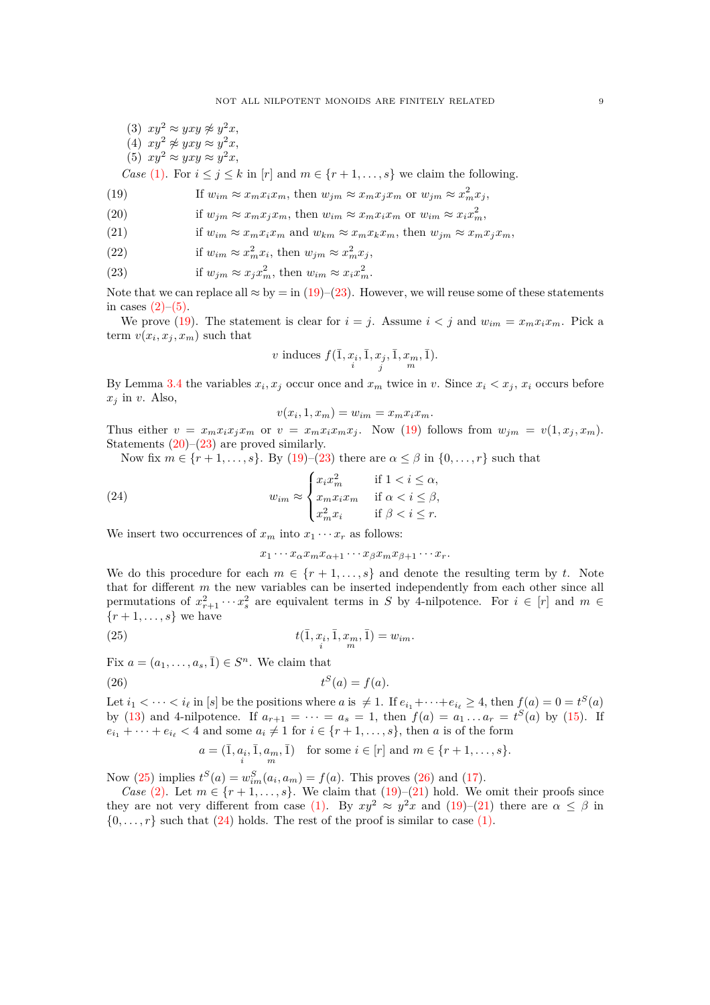<span id="page-8-9"></span><span id="page-8-8"></span><span id="page-8-2"></span>(3)  $xy^2 \approx yxy \not\approx y^2x$ , (4)  $xy^2 \not\approx yxy \approx y^2x$ , (5)  $xy^2 \approx yxy \approx y^2x$ ,

*Case* [\(1\).](#page-7-3) For  $i \leq j \leq k$  in [*r*] and  $m \in \{r+1,\ldots,s\}$  we claim the following.

<span id="page-8-0"></span>(19) If 
$$
w_{im} \approx x_m x_i x_m
$$
, then  $w_{jm} \approx x_m x_j x_m$  or  $w_{jm} \approx x_m^2 x_j$ ,

<span id="page-8-3"></span>(20) if 
$$
w_{jm} \approx x_m x_j x_m
$$
, then  $w_{im} \approx x_m x_i x_m$  or  $w_{im} \approx x_i x_m^2$ ,

<span id="page-8-6"></span>(21) if 
$$
w_{im} \approx x_m x_i x_m
$$
 and  $w_{km} \approx x_m x_k x_m$ , then  $w_{jm} \approx x_m x_j x_m$ ,

(22) if 
$$
w_{im} \approx x_m^2 x_i
$$
, then  $w_{jm} \approx x_m^2 x_j$ ,

<span id="page-8-1"></span>(23) if  $w_{jm} \approx x_j x_m^2$ , then  $w_{im} \approx x_i x_m^2$ .

Note that we can replace all  $\approx$  by = in [\(19\)](#page-8-0)–[\(23\)](#page-8-1). However, we will reuse some of these statements in cases  $(2)$ – $(5)$ .

We prove [\(19\)](#page-8-0). The statement is clear for  $i = j$ . Assume  $i < j$  and  $w_{im} = x_m x_i x_m$ . Pick a term  $v(x_i, x_j, x_m)$  such that

$$
v \text{ induces } f(\bar{1}, x_i, \bar{1}, x_j, \bar{1}, x_m, \bar{1}).
$$

By Lemma [3.4](#page-3-9) the variables  $x_i, x_j$  occur once and  $x_m$  twice in *v*. Since  $x_i < x_j$ ,  $x_i$  occurs before  $x_j$  in *v*. Also,

$$
v(x_i, 1, x_m) = w_{im} = x_m x_i x_m.
$$

Thus either  $v = x_m x_i x_j x_m$  or  $v = x_m x_i x_m x_j$ . Now [\(19\)](#page-8-0) follows from  $w_{im} = v(1, x_j, x_m)$ . Statements  $(20)$ – $(23)$  are proved similarly.

Now fix  $m \in \{r+1,\ldots,s\}$ . By [\(19\)](#page-8-0)–[\(23\)](#page-8-1) there are  $\alpha \leq \beta$  in  $\{0,\ldots,r\}$  such that

(24) 
$$
w_{im} \approx \begin{cases} x_i x_m^2 & \text{if } 1 < i \le \alpha, \\ x_m x_i x_m & \text{if } \alpha < i \le \beta, \\ x_m^2 x_i & \text{if } \beta < i \le r. \end{cases}
$$

We insert two occurrences of  $x_m$  into  $x_1 \cdots x_r$  as follows:

<span id="page-8-7"></span><span id="page-8-5"></span><span id="page-8-4"></span>
$$
x_1 \cdots x_\alpha x_m x_{\alpha+1} \cdots x_\beta x_m x_{\beta+1} \cdots x_r.
$$

We do this procedure for each  $m \in \{r+1,\ldots,s\}$  and denote the resulting term by *t*. Note that for different *m* the new variables can be inserted independently from each other since all permutations of  $x_{r+1}^2 \cdots x_s^2$  are equivalent terms in *S* by 4-nilpotence. For  $i \in [r]$  and  $m \in$  $\{r+1,\ldots,s\}$  we have

(25) 
$$
t(\bar{1}, x_i, \bar{1}, x_m, \bar{1}) = w_{im}.
$$

Fix  $a = (a_1, \ldots, a_s, \overline{1}) \in S^n$ . We claim that

$$
(26) \t tS(a) = f(a).
$$

Let  $i_1 < \cdots < i_\ell$  in [*s*] be the positions where *a* is  $\neq 1$ . If  $e_{i_1} + \cdots + e_{i_\ell} \geq 4$ , then  $f(a) = 0 = t^S(a)$ by [\(13\)](#page-6-3) and 4-nilpotence. If  $a_{r+1} = \cdots = a_s = 1$ , then  $f(a) = a_1 \ldots a_r = t^S(a)$  by [\(15\)](#page-7-0). If  $e_{i_1} + \cdots + e_{i_\ell} < 4$  and some  $a_i \neq 1$  for  $i \in \{r+1, \ldots, s\}$ , then *a* is of the form

$$
a = (\overline{1}, a_i, \overline{1}, a_m, \overline{1}) \text{ for some } i \in [r] \text{ and } m \in \{r+1, \ldots, s\}.
$$

Now [\(25\)](#page-8-4) implies  $t^{S}(a) = w_{im}^{S}(a_{i}, a_{m}) = f(a)$ . This proves [\(26\)](#page-8-5) and [\(17\)](#page-7-1).

*Case* [\(2\).](#page-7-4) Let  $m \in \{r+1,\ldots,s\}$ . We claim that [\(19\)](#page-8-0)–[\(21\)](#page-8-6) hold. We omit their proofs since they are not very different from case [\(1\).](#page-7-3) By  $xy^2 \approx y^2x$  and [\(19\)](#page-8-0)–[\(21\)](#page-8-6) there are  $\alpha \leq \beta$  in  $\{0, \ldots, r\}$  such that [\(24\)](#page-8-7) holds. The rest of the proof is similar to case [\(1\).](#page-7-3)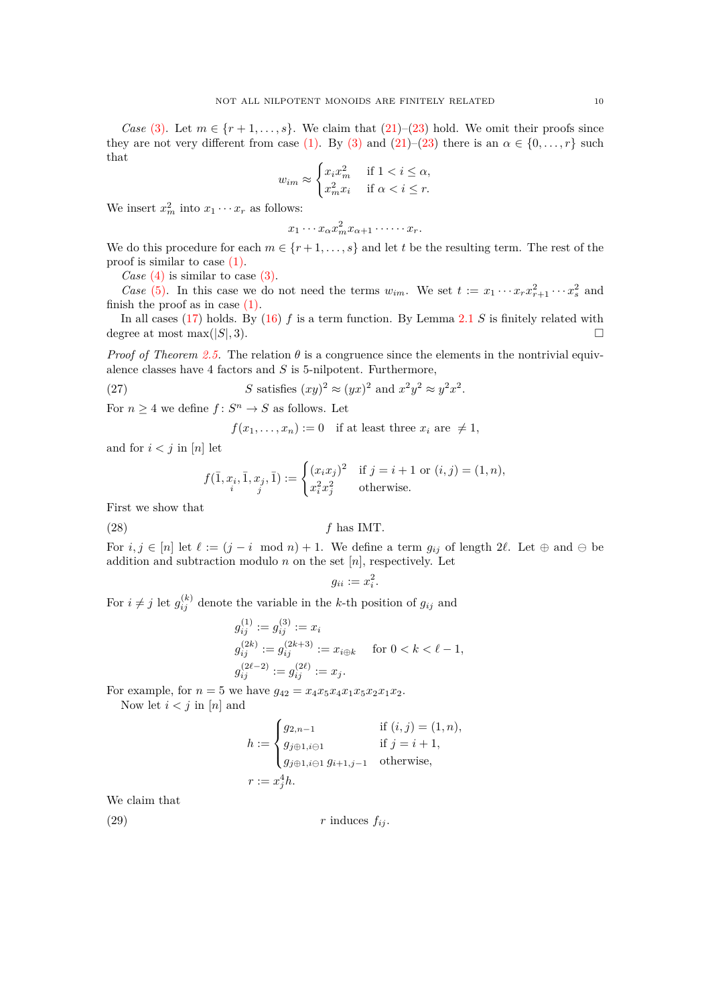*Case* [\(3\).](#page-8-8) Let  $m \in \{r+1,\ldots,s\}$ . We claim that [\(21\)](#page-8-6)–[\(23\)](#page-8-1) hold. We omit their proofs since they are not very different from case [\(1\).](#page-7-3) By [\(3\)](#page-8-8) and [\(21\)](#page-8-6)–[\(23\)](#page-8-1) there is an  $\alpha \in \{0, \ldots, r\}$  such that

$$
w_{im} \approx \begin{cases} x_i x_m^2 & \text{if } 1 < i \le \alpha, \\ x_m^2 x_i & \text{if } \alpha < i \le r. \end{cases}
$$

We insert  $x_m^2$  into  $x_1 \cdots x_r$  as follows:

$$
x_1 \cdots x_\alpha x_m^2 x_{\alpha+1} \cdots x_r.
$$

We do this procedure for each  $m \in \{r+1, \ldots, s\}$  and let *t* be the resulting term. The rest of the proof is similar to case [\(1\).](#page-7-3)

*Case* [\(4\)](#page-8-9) is similar to case [\(3\).](#page-8-8)

*Case* [\(5\).](#page-8-2) In this case we do not need the terms  $w_{im}$ . We set  $t := x_1 \cdots x_r x_{r+1}^2 \cdots x_s^2$  and finish the proof as in case  $(1)$ .

In all cases [\(17\)](#page-7-1) holds. By [\(16\)](#page-7-5) *f* is a term function. By Lemma [2.1](#page-1-1) *S* is finitely related with degree at most max $(|S|, 3)$ .

*Proof of Theorem [2.5.](#page-2-1)* The relation  $\theta$  is a congruence since the elements in the nontrivial equivalence classes have 4 factors and *S* is 5-nilpotent. Furthermore,

(27) 
$$
S \text{ satisfies } (xy)^2 \approx (yx)^2 \text{ and } x^2y^2 \approx y^2x^2.
$$

For  $n \geq 4$  we define  $f: S^n \to S$  as follows. Let

<span id="page-9-0"></span> $f(x_1, \ldots, x_n) := 0$  if at least three  $x_i$  are  $\neq 1$ ,

and for  $i < j$  in  $[n]$  let

$$
f(\bar{1}, x_i, \bar{1}, x_j, \bar{1}) := \begin{cases} (x_i x_j)^2 & \text{if } j = i + 1 \text{ or } (i, j) = (1, n), \\ x_i^2 x_j^2 & \text{otherwise.} \end{cases}
$$

First we show that

(28) *f* has IMT.

For  $i, j \in [n]$  let  $\ell := (j - i \mod n) + 1$ . We define a term  $g_{ij}$  of length 2 $\ell$ . Let  $\oplus$  and  $\ominus$  be addition and subtraction modulo  $n$  on the set  $[n]$ , respectively. Let

<span id="page-9-2"></span>
$$
g_{ii} := x_i^2.
$$

For  $i \neq j$  let  $g_{ij}^{(k)}$  denote the variable in the *k*-th position of  $g_{ij}$  and

$$
g_{ij}^{(1)} := g_{ij}^{(3)} := x_i
$$
  
\n
$$
g_{ij}^{(2k)} := g_{ij}^{(2k+3)} := x_{i \oplus k}
$$
 for  $0 < k < \ell - 1$ ,  
\n
$$
g_{ij}^{(2\ell-2)} := g_{ij}^{(2\ell)} := x_j.
$$

For example, for  $n = 5$  we have  $g_{42} = x_4 x_5 x_4 x_1 x_5 x_2 x_1 x_2$ .

Now let  $i < j$  in  $[n]$  and

<span id="page-9-1"></span>
$$
h := \begin{cases} g_{2,n-1} & \text{if } (i,j) = (1,n), \\ g_{j \oplus 1, i \ominus 1} & \text{if } j = i+1, \\ g_{j \oplus 1, i \ominus 1} g_{i+1, j-1} & \text{otherwise,} \end{cases}
$$
  

$$
r := x_j^4 h.
$$

We claim that

(29)  $r \text{ induces } f_{ij}.$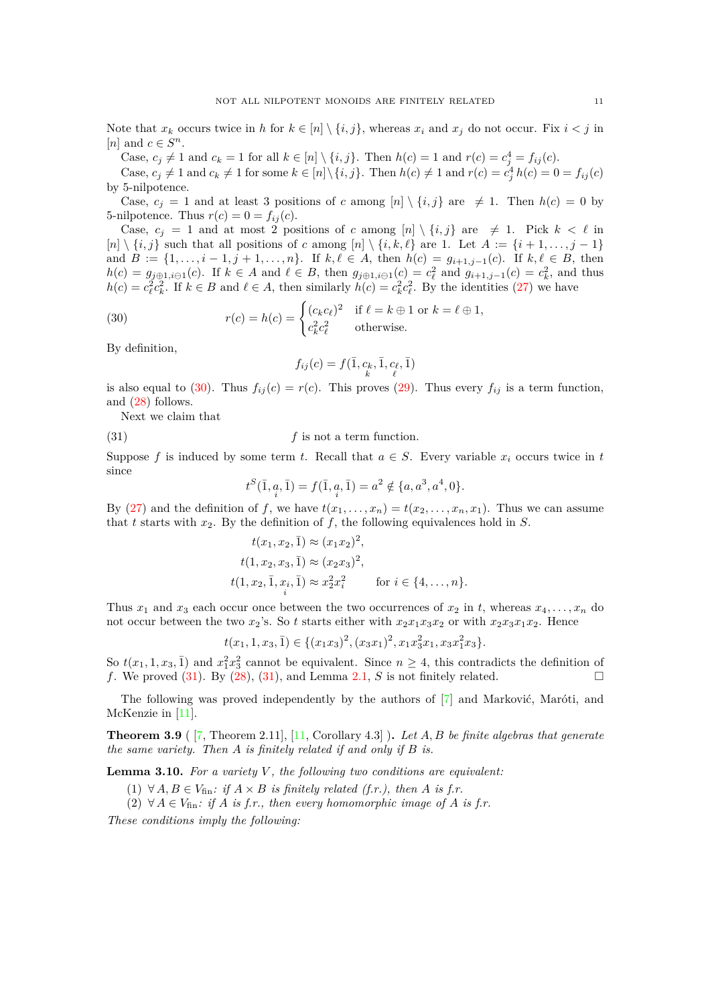Note that  $x_k$  occurs twice in h for  $k \in [n] \setminus \{i, j\}$ , whereas  $x_i$  and  $x_j$  do not occur. Fix  $i < j$  in [*n*] and  $c \in S^n$ .

Case,  $c_j \neq 1$  and  $c_k = 1$  for all  $k \in [n] \setminus \{i, j\}$ . Then  $h(c) = 1$  and  $r(c) = c_j^4 = f_{ij}(c)$ .

Case,  $c_j \neq 1$  and  $c_k \neq 1$  for some  $k \in [n] \setminus \{i, j\}$ . Then  $h(c) \neq 1$  and  $r(c) = c_j^4 h(c) = 0 = f_{ij}(c)$ by 5-nilpotence.

Case,  $c_i = 1$  and at least 3 positions of *c* among  $[n] \setminus \{i, j\}$  are  $\neq 1$ . Then  $h(c) = 0$  by 5-nilpotence. Thus  $r(c) = 0 = f_{ij}(c)$ .

Case,  $c_j = 1$  and at most 2 positions of *c* among  $[n] \setminus \{i, j\}$  are  $\neq 1$ . Pick  $k < \ell$  in  $[n] \setminus \{i, j\}$  such that all positions of *c* among  $[n] \setminus \{i, k, \ell\}$  are 1. Let  $A := \{i + 1, \ldots, j - 1\}$ and  $B := \{1, \ldots, i-1, j+1, \ldots, n\}$ . If  $k, \ell \in A$ , then  $h(c) = g_{i+1,j-1}(c)$ . If  $k, \ell \in B$ , then  $h(c) = g_{j\oplus 1, i\ominus 1}(c)$ . If  $k \in A$  and  $\ell \in B$ , then  $g_{j\oplus 1, i\ominus 1}(c) = c_{\ell}^2$  and  $g_{i+1,j-1}(c) = c_k^2$ , and thus  $h(c) = c_{\ell}^{2} c_{k}^{2}$ . If  $k \in B$  and  $\ell \in A$ , then similarly  $h(c) = c_{k}^{2} c_{\ell}^{2}$ . By the identities [\(27\)](#page-9-0) we have

(30) 
$$
r(c) = h(c) = \begin{cases} (c_k c_\ell)^2 & \text{if } \ell = k \oplus 1 \text{ or } k = \ell \oplus 1, \\ c_k^2 c_\ell^2 & \text{otherwise.} \end{cases}
$$

By definition,

<span id="page-10-0"></span>
$$
f_{ij}(c)=f(\bar 1, c_k, \bar 1, c_\ell, \bar 1)
$$

is also equal to [\(30\)](#page-10-0). Thus  $f_{ij}(c) = r(c)$ . This proves [\(29\)](#page-9-1). Thus every  $f_{ij}$  is a term function, and [\(28\)](#page-9-2) follows.

Next we claim that

(31)  $f$  is not a term function.

Suppose *f* is induced by some term *t*. Recall that  $a \in S$ . Every variable  $x_i$  occurs twice in *t* since

<span id="page-10-1"></span>
$$
t^{S}(\bar{1}, \underset{i}{a}, \bar{1}) = f(\bar{1}, \underset{i}{a}, \bar{1}) = a^{2} \notin \{a, a^{3}, a^{4}, 0\}.
$$

By [\(27\)](#page-9-0) and the definition of f, we have  $t(x_1, \ldots, x_n) = t(x_2, \ldots, x_n, x_1)$ . Thus we can assume that  $t$  starts with  $x_2$ . By the definition of  $f$ , the following equivalences hold in  $S$ .

$$
t(x_1, x_2, \bar{1}) \approx (x_1 x_2)^2,
$$
  
\n
$$
t(1, x_2, x_3, \bar{1}) \approx (x_2 x_3)^2,
$$
  
\n
$$
t(1, x_2, \bar{1}, x_i, \bar{1}) \approx x_2^2 x_i^2 \quad \text{for } i \in \{4, ..., n\}.
$$

Thus  $x_1$  and  $x_3$  each occur once between the two occurrences of  $x_2$  in t, whereas  $x_4, \ldots, x_n$  do not occur between the two  $x_2$ 's. So t starts either with  $x_2x_1x_3x_2$  or with  $x_2x_3x_1x_2$ . Hence

$$
t(x_1, 1, x_3, \bar{1}) \in \{ (x_1x_3)^2, (x_3x_1)^2, x_1x_3^2x_1, x_3x_1^2x_3 \}.
$$

So  $t(x_1, 1, x_3, \bar{1})$  and  $x_1^2 x_3^2$  cannot be equivalent. Since  $n \geq 4$ , this contradicts the definition of *f*. We proved [\(31\)](#page-10-1). By [\(28\)](#page-9-2), [\(31\)](#page-10-1), and Lemma [2.1,](#page-1-1) *S* is not finitely related.

The following was proved independently by the authors of [\[7\]](#page-12-0) and Marković, Maróti, and McKenzie in [\[11\]](#page-12-8).

<span id="page-10-4"></span>**Theorem 3.9** ( [\[7,](#page-12-0) Theorem 2.11], [\[11,](#page-12-8) Corollary 4.3] )**.** *Let A, B be finite algebras that generate the same variety. Then A is finitely related if and only if B is.*

<span id="page-10-5"></span><span id="page-10-3"></span><span id="page-10-2"></span>**Lemma 3.10.** *For a variety V , the following two conditions are equivalent:*

- (1) ∀ *A*, *B* ∈ *V*<sub>fin</sub>: *if*  $A \times B$  *is finitely related (f.r.), then A is f.r.*
- (2) ∀  $A \in V_{\text{fin}}$ : if  $A$  is  $f.r.$ , then every homomorphic image of  $A$  is  $f.r.$

*These conditions imply the following:*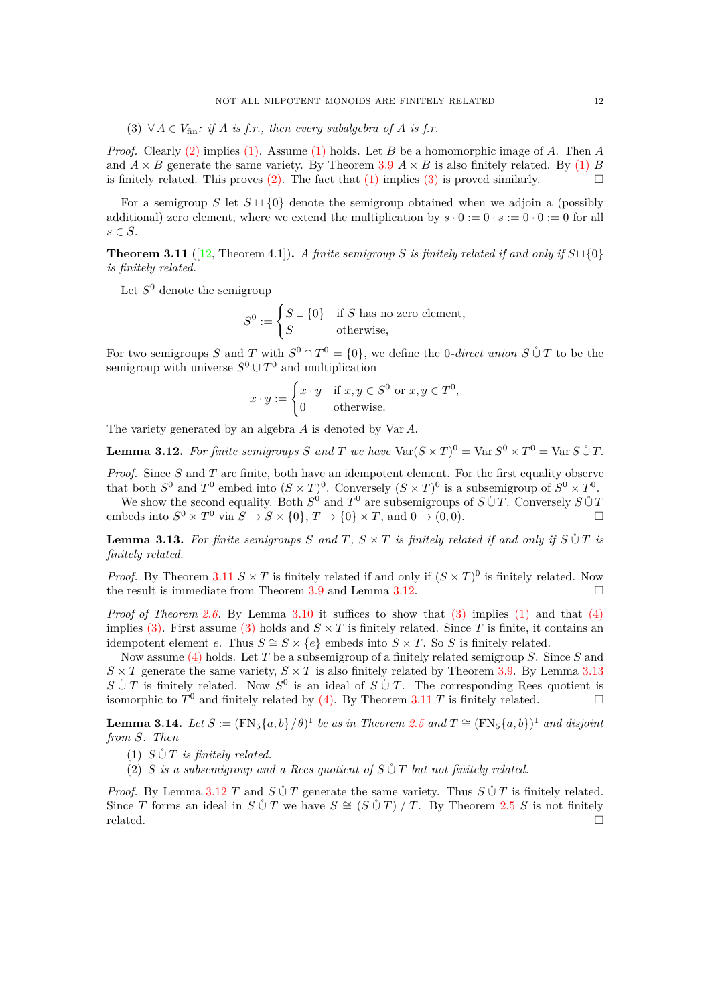<span id="page-11-1"></span>(3)  $\forall A \in V_{\text{fin}}$ : if *A* is *f.r.*, then every subalgebra of *A* is *f.r.* 

*Proof.* Clearly [\(2\)](#page-10-2) implies [\(1\).](#page-10-3) Assume [\(1\)](#page-10-3) holds. Let *B* be a homomorphic image of *A*. Then *A* and  $A \times B$  generate the same variety. By Theorem [3.9](#page-10-4)  $A \times B$  is also finitely related. By [\(1\)](#page-10-3) *B* is finitely related. This proves [\(2\).](#page-10-2) The fact that [\(1\)](#page-10-3) implies [\(3\)](#page-11-1) is proved similarly.

For a semigroup *S* let *S* ⊔ {0} denote the semigroup obtained when we adjoin a (possibly additional) zero element, where we extend the multiplication by  $s \cdot 0 := 0 \cdot s := 0 \cdot 0 := 0$  for all *s* ∈ *S*.

<span id="page-11-2"></span>**Theorem 3.11** ([\[12,](#page-12-1) Theorem 4.1]). *A finite semigroup S is finitely related if and only if*  $S \cup \{0\}$ *is finitely related.*

Let  $S^0$  denote the semigroup

$$
S^{0} := \begin{cases} S \sqcup \{0\} & \text{if } S \text{ has no zero element,} \\ S & \text{otherwise,} \end{cases}
$$

For two semigroups *S* and *T* with  $S^0 \cap T^0 = \{0\}$ , we define the 0*-direct union*  $S \mathring{\cup} T$  to be the semigroup with universe  $S^0 \cup T^0$  and multiplication

$$
x \cdot y := \begin{cases} x \cdot y & \text{if } x, y \in S^0 \text{ or } x, y \in T^0, \\ 0 & \text{otherwise.} \end{cases}
$$

The variety generated by an algebra *A* is denoted by Var *A*.

<span id="page-11-3"></span>**Lemma 3.12.** For finite semigroups S and T we have  $\text{Var}(S \times T)^0 = \text{Var } S^0 \times T^0 = \text{Var } S \overset{\circ}{\cup} T$ .

*Proof.* Since *S* and *T* are finite, both have an idempotent element. For the first equality observe that both  $S^0$  and  $T^0$  embed into  $(S \times T)^0$ . Conversely  $(S \times T)^0$  is a subsemigroup of  $S^0 \times T^0$ .

We show the second equality. Both  $S^0$  and  $T^0$  are subsemigroups of  $S \mathring{\cup} T$ . Conversely  $S \mathring{\cup} T$ embeds into  $S^0 \times T^0$  via  $S \to S \times \{0\}$ ,  $T \to \{0\} \times T$ , and  $0 \mapsto (0,0)$ .

<span id="page-11-4"></span>**Lemma 3.13.** For finite semigroups  $S$  and  $T$ ,  $S \times T$  is finitely related if and only if  $S \mathop{\cup} T$  is *finitely related.*

*Proof.* By Theorem [3.11](#page-11-2)  $S \times T$  is finitely related if and only if  $(S \times T)^0$  is finitely related. Now the result is immediate from Theorem [3.9](#page-10-4) and Lemma [3.12.](#page-11-3)

*Proof of Theorem [2.6.](#page-2-2)* By Lemma [3.10](#page-10-5) it suffices to show that [\(3\)](#page-2-4) implies [\(1\)](#page-2-5) and that [\(4\)](#page-2-6) implies [\(3\).](#page-2-4) First assume [\(3\)](#page-2-4) holds and  $S \times T$  is finitely related. Since *T* is finite, it contains an idempotent element *e*. Thus  $S \cong S \times \{e\}$  embeds into  $S \times T$ . So *S* is finitely related.

Now assume [\(4\)](#page-2-6) holds. Let *T* be a subsemigroup of a finitely related semigroup *S*. Since *S* and  $S \times T$  generate the same variety,  $S \times T$  is also finitely related by Theorem [3.9.](#page-10-4) By Lemma [3.13](#page-11-4) *S*  $\circ$  *T* is finitely related. Now *S*<sup>0</sup> is an ideal of *S*  $\circ$  *T*. The corresponding Rees quotient is isomorphic to  $T^0$  and finitely related by [\(4\).](#page-2-6) By Theorem [3.11](#page-11-2) *T* is finitely related.

<span id="page-11-0"></span>**Lemma 3.14.** Let  $S := (\text{FN}_5\{a, b\}/\theta)^1$  be as in Theorem [2.5](#page-2-1) and  $T \cong (\text{FN}_5\{a, b\})^1$  and disjoint *from S. Then*

 $(1)$  *S*  $\cup$  *T is finitely related.* 

(2) *S* is a subsemigroup and a Rees quotient of  $S \mathcal{C} T$  but not finitely related.

*Proof.* By Lemma [3.12](#page-11-3) *T* and  $S \cup T$  generate the same variety. Thus  $S \cup T$  is finitely related. Since *T* forms an ideal in  $S \nsubseteq T$  we have  $S \cong (S \nsubseteq T) / T$ . By Theorem [2.5](#page-2-1) *S* is not finitely  $related.$